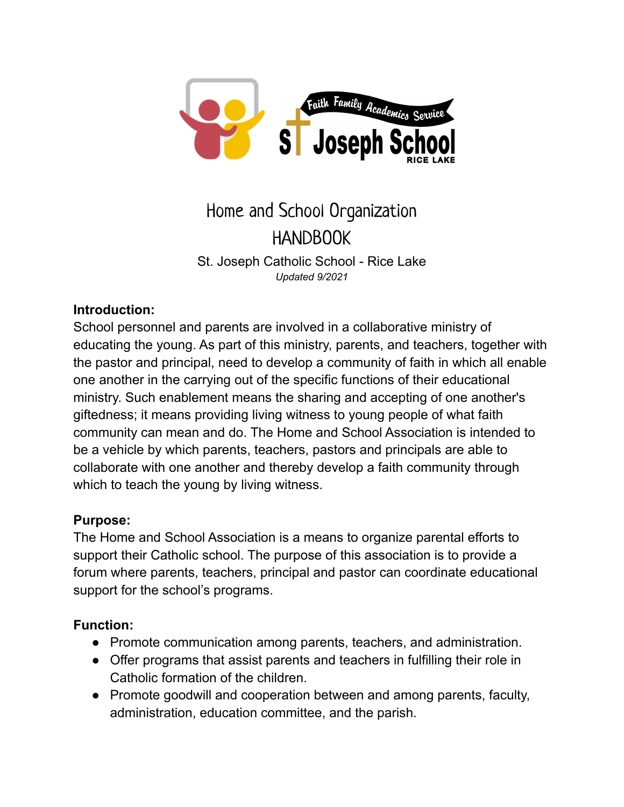

# Home and School Organization HANDBOOK St. Joseph Catholic School - Rice Lake *Updated 9/2021*

# **Introduction:**

School personnel and parents are involved in a collaborative ministry of educating the young. As part of this ministry, parents, and teachers, together with the pastor and principal, need to develop a community of faith in which all enable one another in the carrying out of the specific functions of their educational ministry. Such enablement means the sharing and accepting of one another's giftedness; it means providing living witness to young people of what faith community can mean and do. The Home and School Association is intended to be a vehicle by which parents, teachers, pastors and principals are able to collaborate with one another and thereby develop a faith community through which to teach the young by living witness.

# **Purpose:**

The Home and School Association is a means to organize parental efforts to support their Catholic school. The purpose of this association is to provide a forum where parents, teachers, principal and pastor can coordinate educational support for the school's programs.

# **Function:**

- Promote communication among parents, teachers, and administration.
- Offer programs that assist parents and teachers in fulfilling their role in Catholic formation of the children.
- Promote goodwill and cooperation between and among parents, faculty, administration, education committee, and the parish.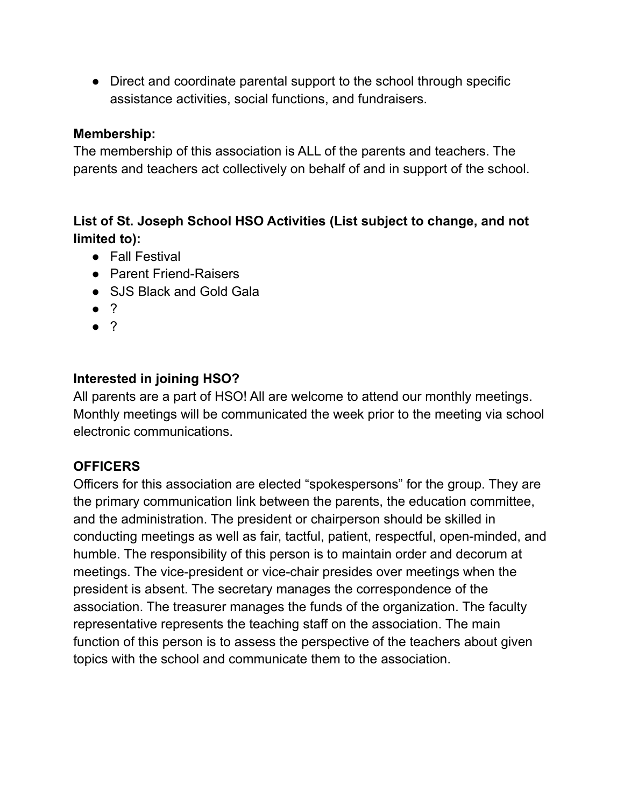• Direct and coordinate parental support to the school through specific assistance activities, social functions, and fundraisers.

#### **Membership:**

The membership of this association is ALL of the parents and teachers. The parents and teachers act collectively on behalf of and in support of the school.

# **List of St. Joseph School HSO Activities (List subject to change, and not limited to):**

- Fall Festival
- Parent Friend-Raisers
- SJS Black and Gold Gala
- ?
- ?

# **Interested in joining HSO?**

All parents are a part of HSO! All are welcome to attend our monthly meetings. Monthly meetings will be communicated the week prior to the meeting via school electronic communications.

# **OFFICERS**

Officers for this association are elected "spokespersons" for the group. They are the primary communication link between the parents, the education committee, and the administration. The president or chairperson should be skilled in conducting meetings as well as fair, tactful, patient, respectful, open-minded, and humble. The responsibility of this person is to maintain order and decorum at meetings. The vice-president or vice-chair presides over meetings when the president is absent. The secretary manages the correspondence of the association. The treasurer manages the funds of the organization. The faculty representative represents the teaching staff on the association. The main function of this person is to assess the perspective of the teachers about given topics with the school and communicate them to the association.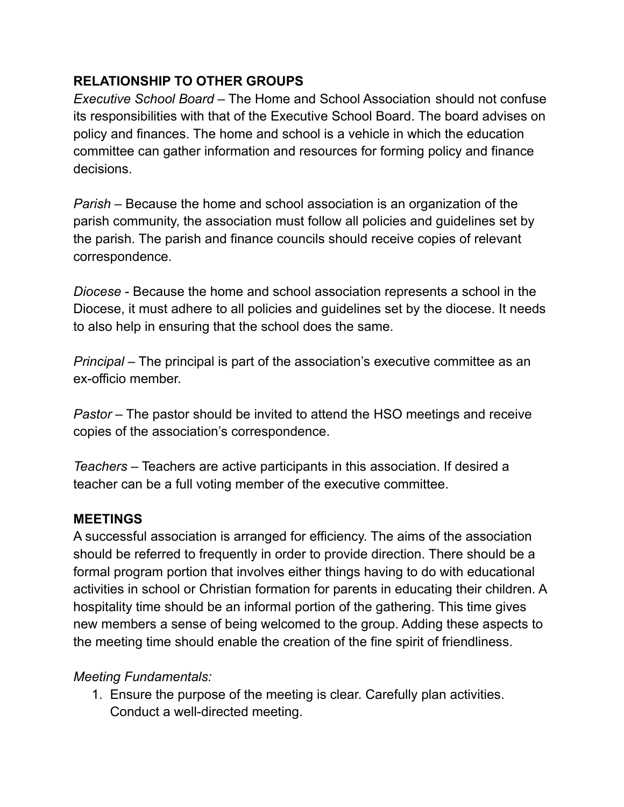# **RELATIONSHIP TO OTHER GROUPS**

*Executive School Board* – The Home and School Association should not confuse its responsibilities with that of the Executive School Board. The board advises on policy and finances. The home and school is a vehicle in which the education committee can gather information and resources for forming policy and finance decisions.

*Parish* – Because the home and school association is an organization of the parish community, the association must follow all policies and guidelines set by the parish. The parish and finance councils should receive copies of relevant correspondence.

*Diocese* - Because the home and school association represents a school in the Diocese, it must adhere to all policies and guidelines set by the diocese. It needs to also help in ensuring that the school does the same.

*Principal* – The principal is part of the association's executive committee as an ex-officio member.

*Pastor* – The pastor should be invited to attend the HSO meetings and receive copies of the association's correspondence.

*Teachers* – Teachers are active participants in this association. If desired a teacher can be a full voting member of the executive committee.

#### **MEETINGS**

A successful association is arranged for efficiency. The aims of the association should be referred to frequently in order to provide direction. There should be a formal program portion that involves either things having to do with educational activities in school or Christian formation for parents in educating their children. A hospitality time should be an informal portion of the gathering. This time gives new members a sense of being welcomed to the group. Adding these aspects to the meeting time should enable the creation of the fine spirit of friendliness.

# *Meeting Fundamentals:*

1. Ensure the purpose of the meeting is clear. Carefully plan activities. Conduct a well-directed meeting.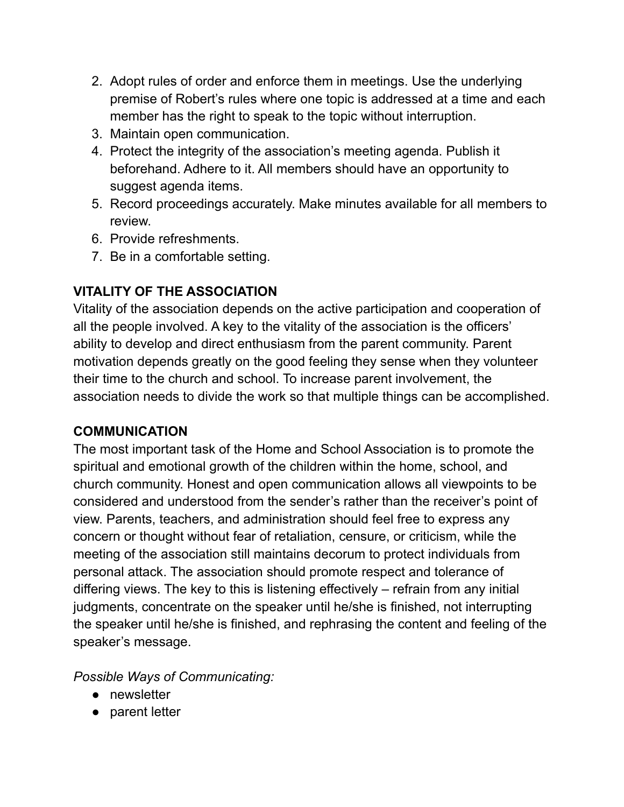- 2. Adopt rules of order and enforce them in meetings. Use the underlying premise of Robert's rules where one topic is addressed at a time and each member has the right to speak to the topic without interruption.
- 3. Maintain open communication.
- 4. Protect the integrity of the association's meeting agenda. Publish it beforehand. Adhere to it. All members should have an opportunity to suggest agenda items.
- 5. Record proceedings accurately. Make minutes available for all members to review.
- 6. Provide refreshments.
- 7. Be in a comfortable setting.

# **VITALITY OF THE ASSOCIATION**

Vitality of the association depends on the active participation and cooperation of all the people involved. A key to the vitality of the association is the officers' ability to develop and direct enthusiasm from the parent community. Parent motivation depends greatly on the good feeling they sense when they volunteer their time to the church and school. To increase parent involvement, the association needs to divide the work so that multiple things can be accomplished.

# **COMMUNICATION**

The most important task of the Home and School Association is to promote the spiritual and emotional growth of the children within the home, school, and church community. Honest and open communication allows all viewpoints to be considered and understood from the sender's rather than the receiver's point of view. Parents, teachers, and administration should feel free to express any concern or thought without fear of retaliation, censure, or criticism, while the meeting of the association still maintains decorum to protect individuals from personal attack. The association should promote respect and tolerance of differing views. The key to this is listening effectively – refrain from any initial judgments, concentrate on the speaker until he/she is finished, not interrupting the speaker until he/she is finished, and rephrasing the content and feeling of the speaker's message.

*Possible Ways of Communicating:*

- newsletter
- parent letter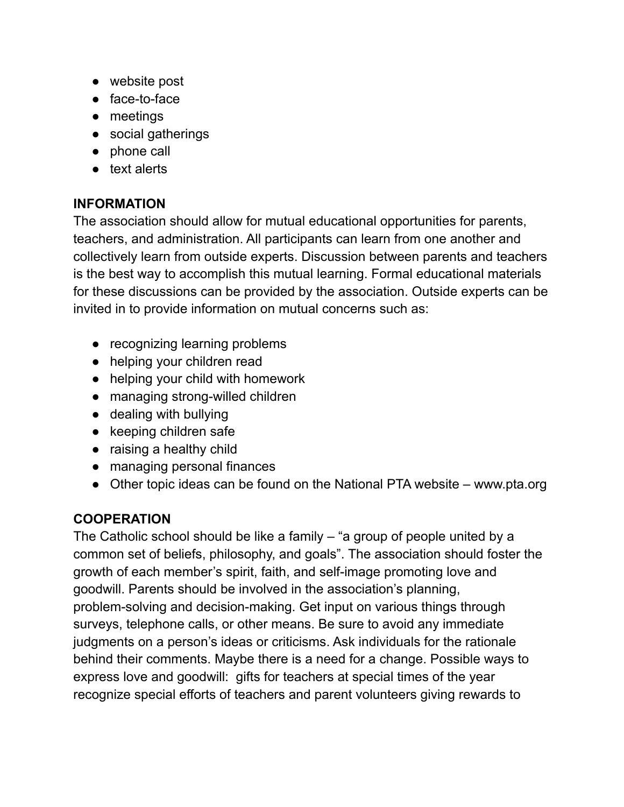- website post
- face-to-face
- meetings
- social gatherings
- phone call
- text alerts

# **INFORMATION**

The association should allow for mutual educational opportunities for parents, teachers, and administration. All participants can learn from one another and collectively learn from outside experts. Discussion between parents and teachers is the best way to accomplish this mutual learning. Formal educational materials for these discussions can be provided by the association. Outside experts can be invited in to provide information on mutual concerns such as:

- recognizing learning problems
- helping your children read
- helping your child with homework
- managing strong-willed children
- dealing with bullying
- keeping children safe
- raising a healthy child
- managing personal finances
- Other topic ideas can be found on the National PTA website www.pta.org

# **COOPERATION**

The Catholic school should be like a family – "a group of people united by a common set of beliefs, philosophy, and goals". The association should foster the growth of each member's spirit, faith, and self-image promoting love and goodwill. Parents should be involved in the association's planning, problem-solving and decision-making. Get input on various things through surveys, telephone calls, or other means. Be sure to avoid any immediate judgments on a person's ideas or criticisms. Ask individuals for the rationale behind their comments. Maybe there is a need for a change. Possible ways to express love and goodwill: gifts for teachers at special times of the year recognize special efforts of teachers and parent volunteers giving rewards to